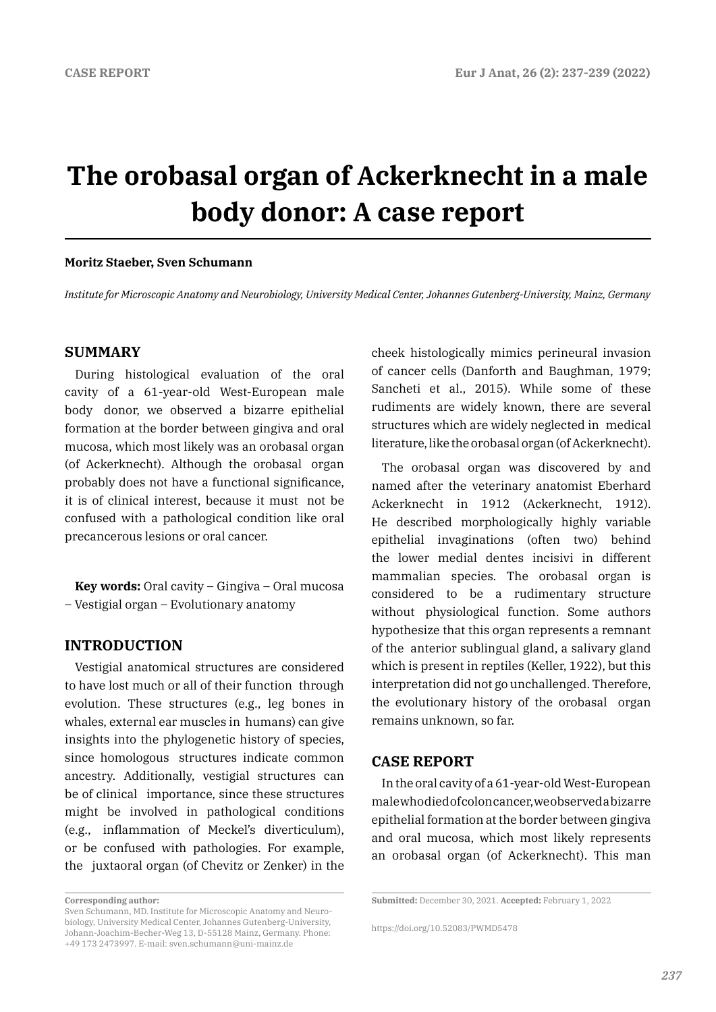# **The orobasal organ of Ackerknecht in a male body donor: A case report**

### **Moritz Staeber, Sven Schumann**

*Institute for Microscopic Anatomy and Neurobiology, University Medical Center, Johannes Gutenberg-University, Mainz, Germany*

## **SUMMARY**

During histological evaluation of the oral cavity of a 61-year-old West-European male body donor, we observed a bizarre epithelial formation at the border between gingiva and oral mucosa, which most likely was an orobasal organ (of Ackerknecht). Although the orobasal organ probably does not have a functional significance, it is of clinical interest, because it must not be confused with a pathological condition like oral precancerous lesions or oral cancer.

**Key words:** Oral cavity – Gingiva – Oral mucosa – Vestigial organ – Evolutionary anatomy

## **INTRODUCTION**

Vestigial anatomical structures are considered to have lost much or all of their function through evolution. These structures (e.g., leg bones in whales, external ear muscles in humans) can give insights into the phylogenetic history of species, since homologous structures indicate common ancestry. Additionally, vestigial structures can be of clinical importance, since these structures might be involved in pathological conditions (e.g., inflammation of Meckel's diverticulum), or be confused with pathologies. For example, the juxtaoral organ (of Chevitz or Zenker) in the

**Corresponding author:** 

cheek histologically mimics perineural invasion of cancer cells (Danforth and Baughman, 1979; Sancheti et al., 2015). While some of these rudiments are widely known, there are several structures which are widely neglected in medical literature, like the orobasal organ (of Ackerknecht).

The orobasal organ was discovered by and named after the veterinary anatomist Eberhard Ackerknecht in 1912 (Ackerknecht, 1912). He described morphologically highly variable epithelial invaginations (often two) behind the lower medial dentes incisivi in different mammalian species. The orobasal organ is considered to be a rudimentary structure without physiological function. Some authors hypothesize that this organ represents a remnant of the anterior sublingual gland, a salivary gland which is present in reptiles (Keller, 1922), but this interpretation did not go unchallenged. Therefore, the evolutionary history of the orobasal organ remains unknown, so far.

## **CASE REPORT**

In the oral cavity of a 61-year-old West-European male who died of colon cancer, we observed a bizarre epithelial formation at the border between gingiva and oral mucosa, which most likely represents an orobasal organ (of Ackerknecht). This man

Sven Schumann, MD. Institute for Microscopic Anatomy and Neurobiology, University Medical Center, Johannes Gutenberg-University, Johann-Joachim-Becher-Weg 13, D-55128 Mainz, Germany. Phone: +49 173 2473997. E-mail: sven.schumann@uni-mainz.de

**Submitted:** December 30, 2021. **Accepted:** February 1, 2022

https://doi.org/10.52083/PWMD5478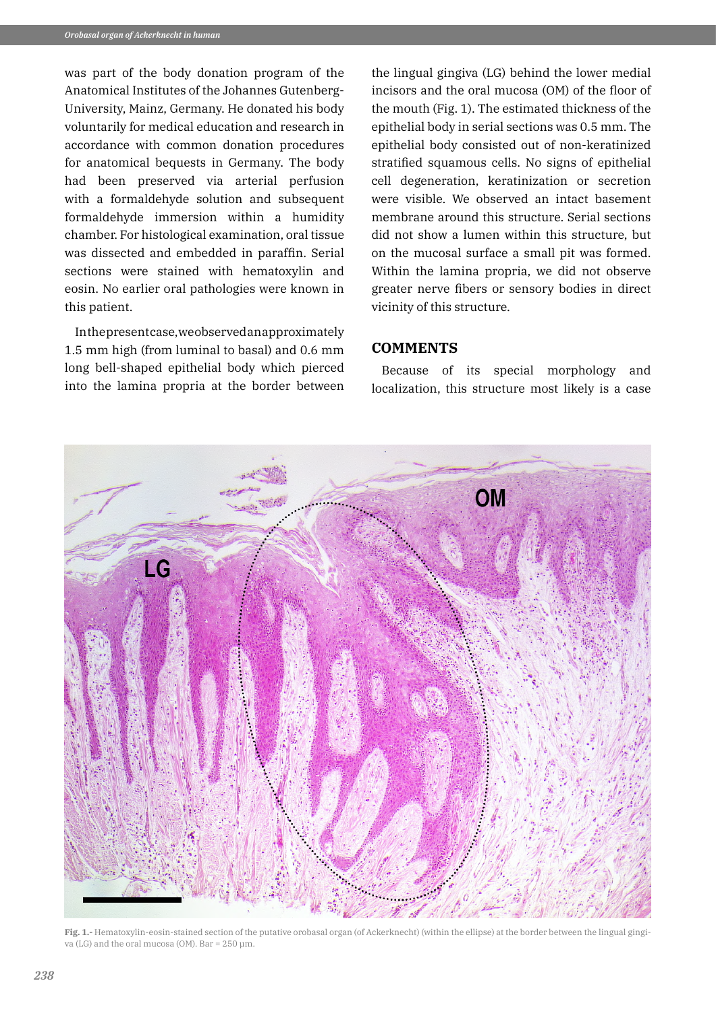was part of the body donation program of the Anatomical Institutes of the Johannes Gutenberg-University, Mainz, Germany. He donated his body voluntarily for medical education and research in accordance with common donation procedures for anatomical bequests in Germany. The body had been preserved via arterial perfusion with a formaldehyde solution and subsequent formaldehyde immersion within a humidity chamber. For histological examination, oral tissue was dissected and embedded in paraffin. Serial sections were stained with hematoxylin and eosin. No earlier oral pathologies were known in this patient.

In the present case, we observed an approximately 1.5 mm high (from luminal to basal) and 0.6 mm long bell-shaped epithelial body which pierced into the lamina propria at the border between

the lingual gingiva (LG) behind the lower medial incisors and the oral mucosa (OM) of the floor of the mouth (Fig. 1). The estimated thickness of the epithelial body in serial sections was 0.5 mm. The epithelial body consisted out of non-keratinized stratified squamous cells. No signs of epithelial cell degeneration, keratinization or secretion were visible. We observed an intact basement membrane around this structure. Serial sections did not show a lumen within this structure, but on the mucosal surface a small pit was formed. Within the lamina propria, we did not observe greater nerve fibers or sensory bodies in direct vicinity of this structure.

## **COMMENTS**

Because of its special morphology and localization, this structure most likely is a case



**Fig. 1.-** Hematoxylin-eosin-stained section of the putative orobasal organ (of Ackerknecht) (within the ellipse) at the border between the lingual gingiva (LG) and the oral mucosa (OM). Bar =  $250 \mu m$ .